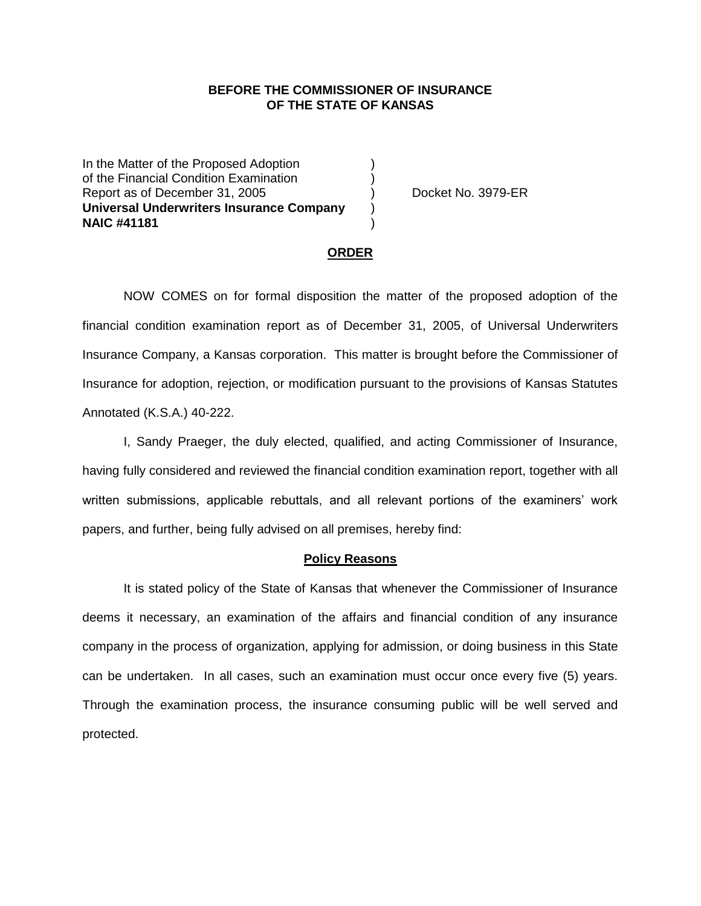## **BEFORE THE COMMISSIONER OF INSURANCE OF THE STATE OF KANSAS**

In the Matter of the Proposed Adoption of the Financial Condition Examination ) Report as of December 31, 2005 (and Separation Control Booket No. 3979-ER **Universal Underwriters Insurance Company** ) **NAIC #41181** )

### **ORDER**

NOW COMES on for formal disposition the matter of the proposed adoption of the financial condition examination report as of December 31, 2005, of Universal Underwriters Insurance Company, a Kansas corporation. This matter is brought before the Commissioner of Insurance for adoption, rejection, or modification pursuant to the provisions of Kansas Statutes Annotated (K.S.A.) 40-222.

I, Sandy Praeger, the duly elected, qualified, and acting Commissioner of Insurance, having fully considered and reviewed the financial condition examination report, together with all written submissions, applicable rebuttals, and all relevant portions of the examiners' work papers, and further, being fully advised on all premises, hereby find:

#### **Policy Reasons**

It is stated policy of the State of Kansas that whenever the Commissioner of Insurance deems it necessary, an examination of the affairs and financial condition of any insurance company in the process of organization, applying for admission, or doing business in this State can be undertaken. In all cases, such an examination must occur once every five (5) years. Through the examination process, the insurance consuming public will be well served and protected.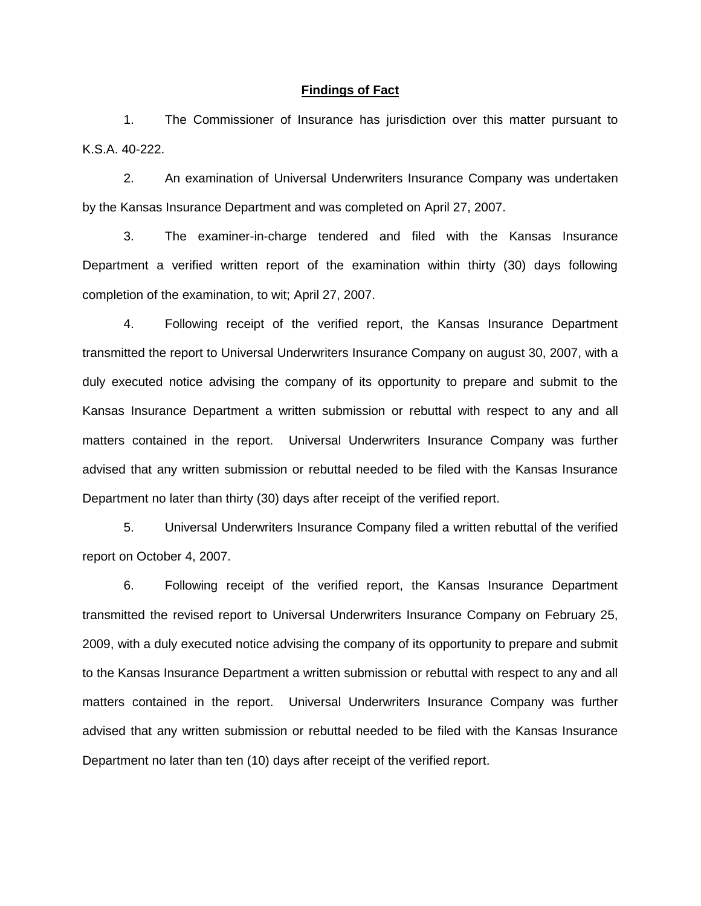#### **Findings of Fact**

1. The Commissioner of Insurance has jurisdiction over this matter pursuant to K.S.A. 40-222.

2. An examination of Universal Underwriters Insurance Company was undertaken by the Kansas Insurance Department and was completed on April 27, 2007.

3. The examiner-in-charge tendered and filed with the Kansas Insurance Department a verified written report of the examination within thirty (30) days following completion of the examination, to wit; April 27, 2007.

4. Following receipt of the verified report, the Kansas Insurance Department transmitted the report to Universal Underwriters Insurance Company on august 30, 2007, with a duly executed notice advising the company of its opportunity to prepare and submit to the Kansas Insurance Department a written submission or rebuttal with respect to any and all matters contained in the report. Universal Underwriters Insurance Company was further advised that any written submission or rebuttal needed to be filed with the Kansas Insurance Department no later than thirty (30) days after receipt of the verified report.

5. Universal Underwriters Insurance Company filed a written rebuttal of the verified report on October 4, 2007.

6. Following receipt of the verified report, the Kansas Insurance Department transmitted the revised report to Universal Underwriters Insurance Company on February 25, 2009, with a duly executed notice advising the company of its opportunity to prepare and submit to the Kansas Insurance Department a written submission or rebuttal with respect to any and all matters contained in the report. Universal Underwriters Insurance Company was further advised that any written submission or rebuttal needed to be filed with the Kansas Insurance Department no later than ten (10) days after receipt of the verified report.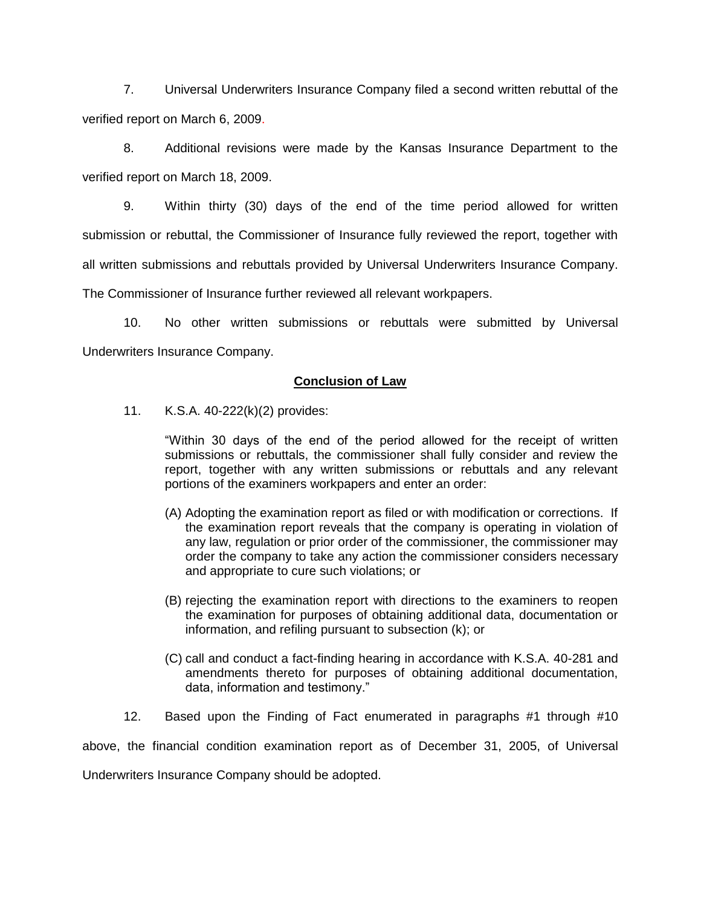7. Universal Underwriters Insurance Company filed a second written rebuttal of the verified report on March 6, 2009.

8. Additional revisions were made by the Kansas Insurance Department to the verified report on March 18, 2009.

9. Within thirty (30) days of the end of the time period allowed for written submission or rebuttal, the Commissioner of Insurance fully reviewed the report, together with all written submissions and rebuttals provided by Universal Underwriters Insurance Company. The Commissioner of Insurance further reviewed all relevant workpapers.

10. No other written submissions or rebuttals were submitted by Universal Underwriters Insurance Company.

## **Conclusion of Law**

11. K.S.A. 40-222(k)(2) provides:

"Within 30 days of the end of the period allowed for the receipt of written submissions or rebuttals, the commissioner shall fully consider and review the report, together with any written submissions or rebuttals and any relevant portions of the examiners workpapers and enter an order:

- (A) Adopting the examination report as filed or with modification or corrections. If the examination report reveals that the company is operating in violation of any law, regulation or prior order of the commissioner, the commissioner may order the company to take any action the commissioner considers necessary and appropriate to cure such violations; or
- (B) rejecting the examination report with directions to the examiners to reopen the examination for purposes of obtaining additional data, documentation or information, and refiling pursuant to subsection (k); or
- (C) call and conduct a fact-finding hearing in accordance with K.S.A. 40-281 and amendments thereto for purposes of obtaining additional documentation, data, information and testimony."

12. Based upon the Finding of Fact enumerated in paragraphs #1 through #10

above, the financial condition examination report as of December 31, 2005, of Universal

Underwriters Insurance Company should be adopted.